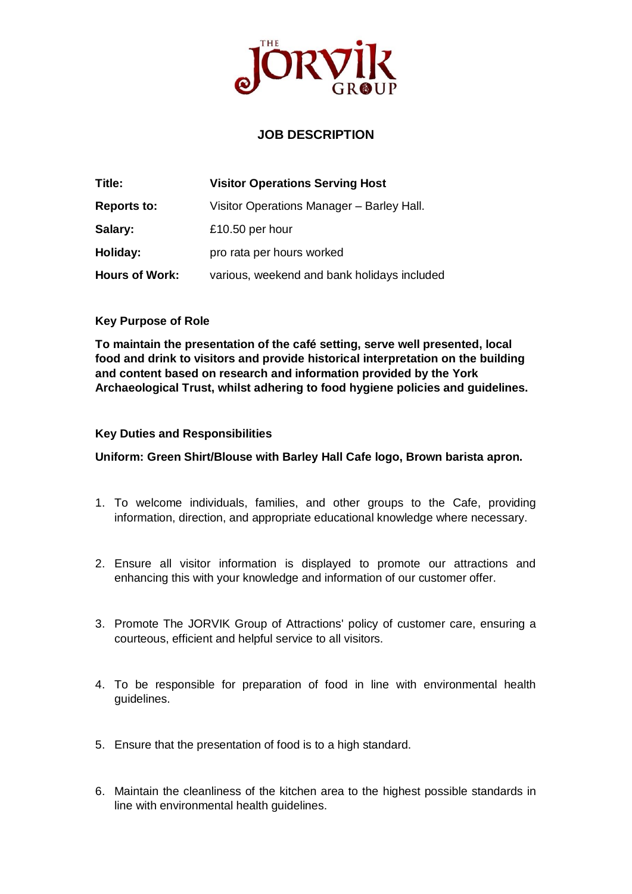

## **JOB DESCRIPTION**

| Title:                | <b>Visitor Operations Serving Host</b>      |
|-----------------------|---------------------------------------------|
| <b>Reports to:</b>    | Visitor Operations Manager - Barley Hall.   |
| Salary:               | £10.50 per hour                             |
| Holiday:              | pro rata per hours worked                   |
| <b>Hours of Work:</b> | various, weekend and bank holidays included |

## **Key Purpose of Role**

**To maintain the presentation of the café setting, serve well presented, local food and drink to visitors and provide historical interpretation on the building and content based on research and information provided by the York Archaeological Trust, whilst adhering to food hygiene policies and guidelines.**

## **Key Duties and Responsibilities**

**Uniform: Green Shirt/Blouse with Barley Hall Cafe logo, Brown barista apron.** 

- 1. To welcome individuals, families, and other groups to the Cafe, providing information, direction, and appropriate educational knowledge where necessary.
- 2. Ensure all visitor information is displayed to promote our attractions and enhancing this with your knowledge and information of our customer offer.
- 3. Promote The JORVIK Group of Attractions' policy of customer care, ensuring a courteous, efficient and helpful service to all visitors.
- 4. To be responsible for preparation of food in line with environmental health guidelines.
- 5. Ensure that the presentation of food is to a high standard.
- 6. Maintain the cleanliness of the kitchen area to the highest possible standards in line with environmental health guidelines.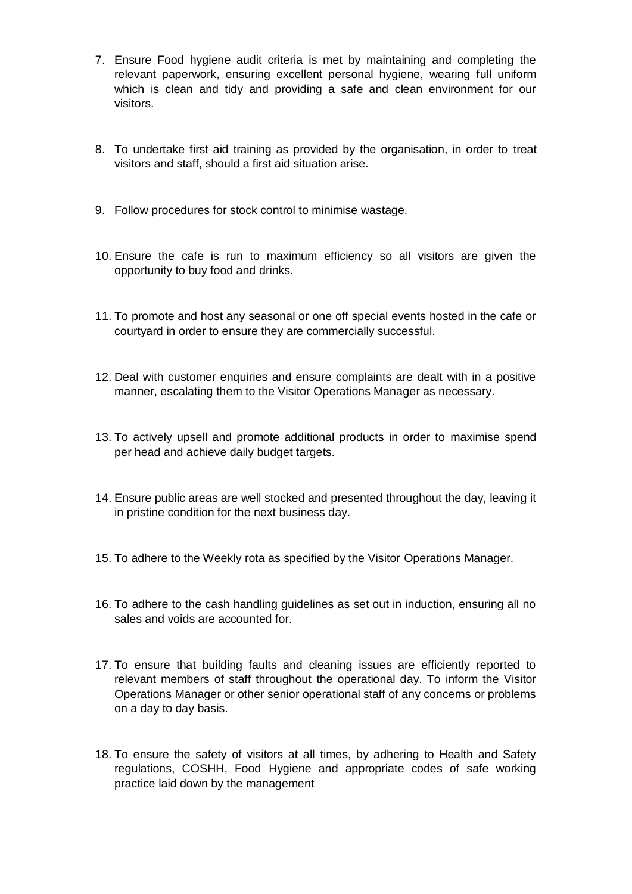- 7. Ensure Food hygiene audit criteria is met by maintaining and completing the relevant paperwork, ensuring excellent personal hygiene, wearing full uniform which is clean and tidy and providing a safe and clean environment for our visitors.
- 8. To undertake first aid training as provided by the organisation, in order to treat visitors and staff, should a first aid situation arise.
- 9. Follow procedures for stock control to minimise wastage.
- 10. Ensure the cafe is run to maximum efficiency so all visitors are given the opportunity to buy food and drinks.
- 11. To promote and host any seasonal or one off special events hosted in the cafe or courtyard in order to ensure they are commercially successful.
- 12. Deal with customer enquiries and ensure complaints are dealt with in a positive manner, escalating them to the Visitor Operations Manager as necessary.
- 13. To actively upsell and promote additional products in order to maximise spend per head and achieve daily budget targets.
- 14. Ensure public areas are well stocked and presented throughout the day, leaving it in pristine condition for the next business day.
- 15. To adhere to the Weekly rota as specified by the Visitor Operations Manager.
- 16. To adhere to the cash handling guidelines as set out in induction, ensuring all no sales and voids are accounted for.
- 17. To ensure that building faults and cleaning issues are efficiently reported to relevant members of staff throughout the operational day. To inform the Visitor Operations Manager or other senior operational staff of any concerns or problems on a day to day basis.
- 18. To ensure the safety of visitors at all times, by adhering to Health and Safety regulations, COSHH, Food Hygiene and appropriate codes of safe working practice laid down by the management